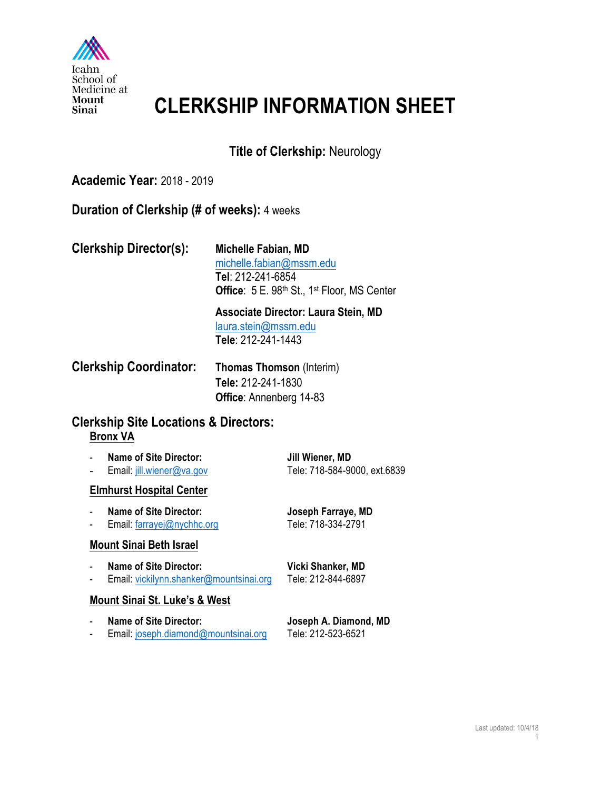

# **CLERKSHIP INFORMATION SHEET**

# **Title of Clerkship:** Neurology

### **Academic Year:** 2018 - 2019

#### **Duration of Clerkship (# of weeks):** 4 weeks

| <b>Clerkship Director(s):</b> | Michelle Fabian, MD                                |
|-------------------------------|----------------------------------------------------|
|                               | michelle.fabian@mssm.edu                           |
|                               | Tel: 212-241-6854                                  |
|                               | <b>Office:</b> 5 E. 98th St., 1st Floor, MS Center |
|                               |                                                    |

**Associate Director: Laura Stein, MD** laura.stein@mssm.edu **Tele**: 212-241-1443

| <b>Clerkship Coordinator:</b> | <b>Thomas Thomson (Interim)</b> |
|-------------------------------|---------------------------------|
|                               | Tele: 212-241-1830              |
|                               | <b>Office:</b> Annenberg 14-83  |

### **Clerkship Site Locations & Directors: Bronx VA**

| <b>Name of Site Director:</b> | Jill Wiener, MD              |
|-------------------------------|------------------------------|
| Email: jill.wiener@va.gov     | Tele: 718-584-9000, ext.6839 |

#### **Elmhurst Hospital Center**

| <b>Name of Site Director:</b> | Joseph Farraye, MD |
|-------------------------------|--------------------|
| Email: farrayej@nychhc.org    | Tele: 718-334-2791 |

#### **Mount Sinai Beth Israel**

- Name of Site Director: Vicki Shanker, MD
- Email: vickilynn.shanker@mountsinai.org Tele: 212-844-6897

#### **Mount Sinai St. Luke's & West**

| <b>Name of Site Director:</b>        | Joseph A. Diamond, MD |
|--------------------------------------|-----------------------|
| Email: joseph.diamond@mountsinai.org | Tele: 212-523-6521    |